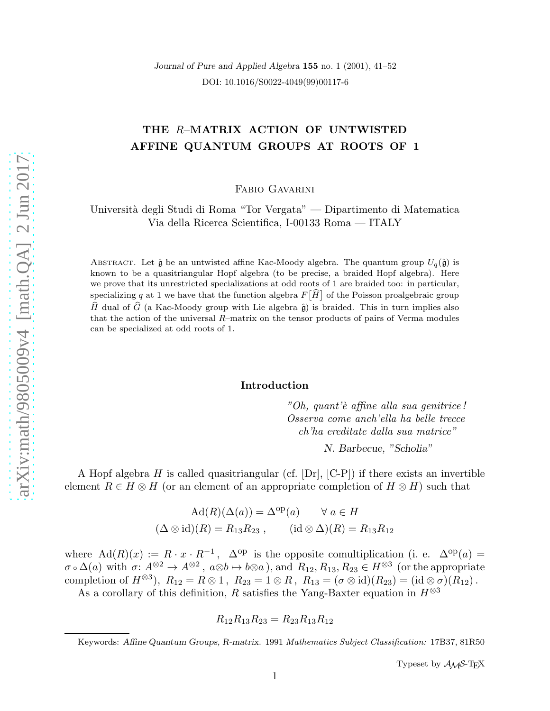Journal of Pure and Applied Algebra 155 no. 1 (2001), 41–52 DOI: 10.1016/S0022-4049(99)00117-6

# THE R–MATRIX ACTION OF UNTWISTED AFFINE QUANTUM GROUPS AT ROOTS OF 1

Fabio Gavarini

Università degli Studi di Roma "Tor Vergata" — Dipartimento di Matematica Via della Ricerca Scientifica, I-00133 Roma — ITALY

ABSTRACT. Let  $\hat{\mathfrak{g}}$  be an untwisted affine Kac-Moody algebra. The quantum group  $U_q(\hat{\mathfrak{g}})$  is known to be a quasitriangular Hopf algebra (to be precise, a braided Hopf algebra). Here we prove that its unrestricted specializations at odd roots of 1 are braided too: in particular, specializing  $q$  at 1 we have that the function algebra  $F\big[\widehat{H}\big]$  of the Poisson proalgebraic group  $\widehat{H}$  dual of  $\widehat{G}$  (a Kac-Moody group with Lie algebra  $\widehat{\mathfrak{g}}$ ) is braided. This in turn implies also that the action of the universal R–matrix on the tensor products of pairs of Verma modules can be specialized at odd roots of 1.

# Introduction

"Oh, quant'è affine alla sua genitrice! Osserva come anch'ella ha belle trecce ch'ha ereditate dalla sua matrice"

N. Barbecue, "Scholia"

A Hopf algebra H is called quasitriangular (cf.  $[Dr]$ ,  $[C-P]$ ) if there exists an invertible element  $R \in H \otimes H$  (or an element of an appropriate completion of  $H \otimes H$ ) such that

$$
Ad(R)(\Delta(a)) = \Delta^{op}(a) \qquad \forall a \in H
$$
  

$$
(\Delta \otimes id)(R) = R_{13}R_{23}, \qquad (id \otimes \Delta)(R) = R_{13}R_{12}
$$

where  $\text{Ad}(R)(x) := R \cdot x \cdot R^{-1}$ ,  $\Delta^{\text{op}}$  is the opposite comultiplication (i. e.  $\Delta^{\text{op}}(a)$  =  $\sigma \circ \Delta(a)$  with  $\sigma: A^{\otimes 2} \to A^{\otimes 2}$ ,  $a \otimes b \mapsto b \otimes a$ ), and  $R_{12}, R_{13}, R_{23} \in H^{\otimes 3}$  (or the appropriate completion of  $H^{\otimes 3}$ ),  $R_{12} = R \otimes 1$ ,  $R_{23} = 1 \otimes R$ ,  $R_{13} = (\sigma \otimes id)(R_{23}) = (id \otimes \sigma)(R_{12})$ .

As a corollary of this definition,  $R$  satisfies the Yang-Baxter equation in  $H^{\otimes 3}$ 

$$
R_{12}R_{13}R_{23} = R_{23}R_{13}R_{12}
$$

Typeset by  $\mathcal{A}_{\mathcal{M}}\mathcal{S}\text{-}\mathrm{Tr}X$ 

Keywords: Affine Quantum Groups, R-matrix. 1991 Mathematics Subject Classification: 17B37, 81R50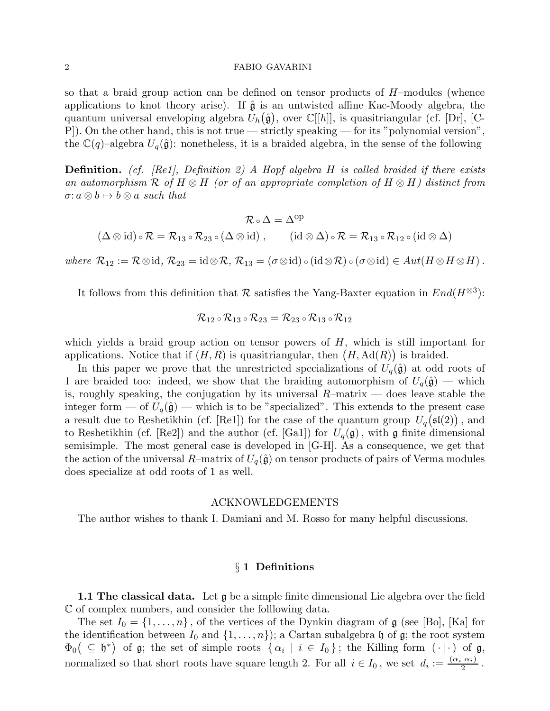so that a braid group action can be defined on tensor products of  $H$ –modules (whence applications to knot theory arise). If  $\hat{g}$  is an untwisted affine Kac-Moody algebra, the quantum universal enveloping algebra  $U_h(\hat{\mathfrak{g}})$ , over  $\mathbb{C}[[h]]$ , is quasitriangular (cf. [Dr], [C-P]). On the other hand, this is not true — strictly speaking — for its "polynomial version", the  $\mathbb{C}(q)$ –algebra  $U_q(\hat{\mathfrak{g}})$ : nonetheless, it is a braided algebra, in the sense of the following

**Definition.** (cf. [Re1], Definition 2) A Hopf algebra H is called braided if there exists an automorphism R of H  $\otimes$  H (or of an appropriate completion of H  $\otimes$  H) distinct from  $\sigma: a \otimes b \mapsto b \otimes a$  such that

$$
\mathcal{R} \circ \Delta = \Delta^{op} \qquad \qquad \\ (\Delta \otimes \mathrm{id}) \circ \mathcal{R} = \mathcal{R}_{13} \circ \mathcal{R}_{23} \circ (\Delta \otimes \mathrm{id}) \; , \qquad (\mathrm{id} \otimes \Delta) \circ \mathcal{R} = \mathcal{R}_{13} \circ \mathcal{R}_{12} \circ (\mathrm{id} \otimes \Delta)
$$

where  $\mathcal{R}_{12} := \mathcal{R} \otimes id$ ,  $\mathcal{R}_{23} = id \otimes \mathcal{R}$ ,  $\mathcal{R}_{13} = (\sigma \otimes id) \circ (id \otimes \mathcal{R}) \circ (\sigma \otimes id) \in Aut(H \otimes H \otimes H)$ .

It follows from this definition that R satisfies the Yang-Baxter equation in  $End(H^{\otimes 3})$ :

$$
\mathcal{R}_{12} \circ \mathcal{R}_{13} \circ \mathcal{R}_{23} = \mathcal{R}_{23} \circ \mathcal{R}_{13} \circ \mathcal{R}_{12}
$$

which yields a braid group action on tensor powers of  $H$ , which is still important for applications. Notice that if  $(H, R)$  is quasitriangular, then  $(H, \mathrm{Ad}(R))$  is braided.

In this paper we prove that the unrestricted specializations of  $U_q(\hat{\mathfrak{g}})$  at odd roots of 1 are braided too: indeed, we show that the braiding automorphism of  $U_q(\hat{\mathfrak{g}})$  — which is, roughly speaking, the conjugation by its universal  $R$ –matrix — does leave stable the integer form — of  $U_q(\hat{\mathfrak{g}})$  — which is to be "specialized". This extends to the present case a result due to Reshetikhin (cf. [Re1]) for the case of the quantum group  $U_q(\mathfrak{sl}(2))$ , and to Reshetikhin (cf. [Re2]) and the author (cf. [Ga1]) for  $U_q(\mathfrak{g})$ , with  $\mathfrak g$  finite dimensional semisimple. The most general case is developed in [G-H]. As a consequence, we get that the action of the universal R–matrix of  $U_q(\hat{\mathfrak{g}})$  on tensor products of pairs of Verma modules does specialize at odd roots of 1 as well.

# ACKNOWLEDGEMENTS

The author wishes to thank I. Damiani and M. Rosso for many helpful discussions.

# § 1 Definitions

**1.1 The classical data.** Let  $\mathfrak{g}$  be a simple finite dimensional Lie algebra over the field C of complex numbers, and consider the folllowing data.

The set  $I_0 = \{1, \ldots, n\}$ , of the vertices of the Dynkin diagram of  $\mathfrak g$  (see [Bo], [Ka] for the identification between  $I_0$  and  $\{1, \ldots, n\}$ ; a Cartan subalgebra h of g; the root system  $\Phi_0(\subseteq \mathfrak{h}^*)$  of  $\mathfrak{g}$ ; the set of simple roots  $\{\alpha_i \mid i \in I_0\}$ ; the Killing form  $(\cdot | \cdot)$  of  $\mathfrak{g}$ , normalized so that short roots have square length 2. For all  $i \in I_0$ , we set  $d_i := \frac{(\alpha_i | \alpha_i)}{2}$  $\frac{|\alpha_i|}{2}$ .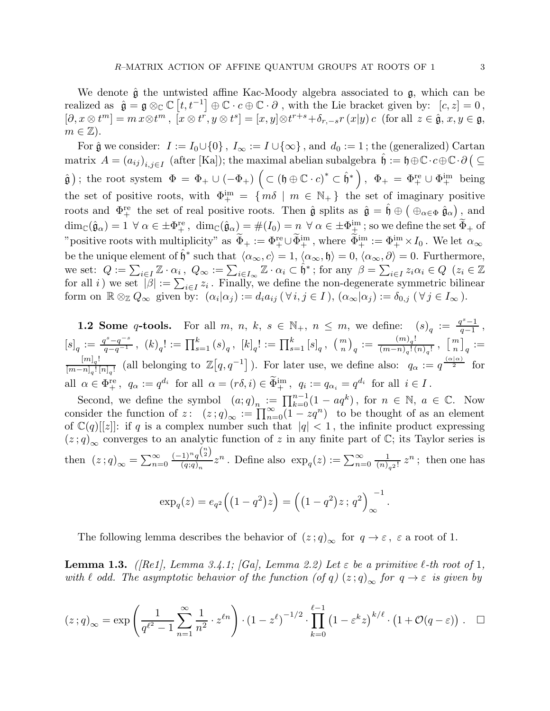We denote  $\hat{\mathfrak{g}}$  the untwisted affine Kac-Moody algebra associated to  $\mathfrak{g}$ , which can be realized as  $\hat{\mathfrak{g}} = \mathfrak{g} \otimes_{\mathbb{C}} \mathbb{C} [t, t^{-1}] \oplus \mathbb{C} \cdot c \oplus \mathbb{C} \cdot \partial$ , with the Lie bracket given by:  $[c, z] = 0$ ,  $[\partial, x\otimes t^m]=m x\otimes t^m, \ [\overline{x}\otimes t^{\overline{r}},y\otimes t^s]=[x,y]\otimes t^{r+s}+\delta_{r,-s}r\,(x|y)\,c\ \ \text{(for all}\ \ z\in \hat{\mathfrak{g}},\,x,y\in \mathfrak{g},$  $m \in \mathbb{Z}$ ).

For  $\hat{\mathfrak{g}}$  we consider:  $I := I_0 \cup \{0\}$ ,  $I_\infty := I \cup \{\infty\}$ , and  $d_0 := 1$ ; the (generalized) Cartan  $\text{matrix} \ \ A = \left( a_{ij} \right)_{i,j \in I} \ \text{(after [Ka])}; \text{ the maximal abelian subalgebra } \hat{\mathfrak{h}} := \mathfrak{h} \oplus \mathbb{C} \cdot c \oplus \mathbb{C} \cdot \partial \big( \subseteq$  $(\hat{\mathfrak{g}})$ ; the root system  $\Phi = \Phi_+ \cup (-\Phi_+) \left( \subset (\mathfrak{h} \oplus \mathbb{C} \cdot c)^* \subset \hat{\mathfrak{h}}^* \right), \Phi_+ = \Phi_+^{\text{re}} \cup \Phi_+^{\text{im}}$  being the set of positive roots, with  $\Phi_{+}^{\text{im}} = \{ m\delta \mid m \in \mathbb{N}_{+} \}$  the set of imaginary positive roots and  $\Phi_{+}^{\text{re}}$  the set of real positive roots. Then  $\hat{\mathfrak{g}}$  splits as  $\hat{\mathfrak{g}} = \hat{\mathfrak{h}} \oplus (\bigoplus_{\alpha \in \Phi} \hat{\mathfrak{g}}_{\alpha})$ , and  $\dim_\mathbb{C}(\hat{\mathfrak{g}}_\alpha) = 1 \ \ \forall \ \alpha \in \pm \Phi_+^{\text{re}} \, , \ \ \dim_\mathbb{C}(\hat{\mathfrak{g}}_\alpha) = \#(I_0) = n \ \ \forall \ \alpha \in \pm \Phi_+^{\text{im}} \, ; \text{so we define the set } \Phi_+ \text{ of } \Phi_+^{\text{im}} \, ,$ "positive roots with multiplicity" as  $\widetilde{\Phi}_+ := \Phi_+^{\text{re}} \cup \widetilde{\Phi}_+^{\text{im}}$ , where  $\widetilde{\Phi}_+^{\text{im}} := \Phi_+^{\text{im}} \times I_0$ . We let  $\alpha_\infty$ be the unique element of  $\hat{\mathfrak{h}}^*$  such that  $\langle \alpha_\infty, c \rangle = 1, \langle \alpha_\infty, \mathfrak{h} \rangle = 0, \langle \alpha_\infty, \partial \rangle = 0$ . Furthermore, we set:  $Q := \sum_{i \in I} \mathbb{Z} \cdot \alpha_i$ ,  $Q_{\infty} := \sum_{i \in I_{\infty}} \mathbb{Z} \cdot \alpha_i \subset \hat{\mathfrak{h}}^*$ ; for any  $\beta = \sum_{i \in I} z_i \alpha_i \in Q$   $(z_i \in \mathbb{Z})$ for all i) we set  $|\beta| := \sum_{i \in I} z_i$ . Finally, we define the non-degenerate symmetric bilinear form on  $\mathbb{R} \otimes_{\mathbb{Z}} Q_{\infty}$  given by:  $(\alpha_i | \alpha_j) := d_i a_{ij} \, (\forall \, i, j \in I), (\alpha_{\infty} | \alpha_j) := \delta_{0,j} \, (\forall \, j \in I_{\infty}).$ 

**1.2 Some q-tools.** For all m, n, k,  $s \in \mathbb{N}_+$ ,  $n \leq m$ , we define:  $(s)_q := \frac{q^s-1}{q-1}$  $\frac{q-1}{q-1}$ ,  $\label{eq:3} [s]_q:=\tfrac{q^{s}-q^{-s}}{q-q^{-1}}\,,\,\,(k)_q!:=\prod_{s=1}^k{(s)}_q\,,\,\,[k]_q!:=\prod_{s=1}^k{[s]}_q\,,\,\,\left(\begin{smallmatrix}m\\n\end{smallmatrix}\right)_q:=\tfrac{(m)_q!}{(m-n)_q!(q-n)!}$  $\frac{(m)_q!}{(m-n)_q! (n)_q!}$ ,  $\left[\frac{m}{n}\right]$  $\left[\begin{smallmatrix}m\ n\end{smallmatrix}\right]_q :=$  $[m]_q!$  $\frac{[m]_q!}{[m-n]_q! [n]_q!}$  (all belonging to  $\mathbb{Z}[q, q^{-1}]$ ). For later use, we define also:  $q_\alpha := q^{\frac{(\alpha|\alpha)}{2}}$  for all  $\alpha \in \Phi_+^{\text{re}}$ ,  $q_\alpha := q^{d_i}$  for all  $\alpha = (r\delta, i) \in \Phi_+^{\text{im}}$ ,  $q_i := q_{\alpha_i} = q^{d_i}$  for all  $i \in I$ .

Second, we define the symbol  $(a;q)_n := \prod_{k=0}^{n-1} (1 - aq^k)$ , for  $n \in \mathbb{N}$ ,  $a \in \mathbb{C}$ . Now consider the function of  $z: (z;q)_{\infty} := \prod_{n=0}^{\infty} (1 - zq^n)$  to be thought of as an element of  $\mathbb{C}(q)[[z]]$ : if q is a complex number such that  $|q| < 1$ , the infinite product expressing  $(z;q)_{\infty}$  converges to an analytic function of z in any finite part of C; its Taylor series is then  $(z;q)_{\infty} = \sum_{n=0}^{\infty}$  $(-1)^n q^{\binom{n}{2}}$  $\frac{(1)^n q^{(2)}}{(q;q)_n} z^n$ . Define also  $\exp_q(z) := \sum_{n=0}^{\infty}$ 1  $\frac{1}{(n)_{q^2}!} z^n$ ; then one has

$$
\exp_q(z) = e_{q^2}\left( (1 - q^2)z \right) = \left( (1 - q^2)z \, ; \, q^2 \right)_{\infty}^{-1}
$$

.

The following lemma describes the behavior of  $(z; q)_{\infty}$  for  $q \to \varepsilon$ ,  $\varepsilon$  a root of 1.

**Lemma 1.3.** ([Re1], Lemma 3.4.1; [Ga], Lemma 2.2) Let  $\varepsilon$  be a primitive  $\ell$ -th root of 1, with  $\ell$  odd. The asymptotic behavior of the function (of q)  $(z; q)_{\infty}$  for  $q \to \varepsilon$  is given by

$$
(z;q)_{\infty} = \exp\left(\frac{1}{q^{\ell^2}-1}\sum_{n=1}^{\infty}\frac{1}{n^2}\cdot z^{\ell n}\right)\cdot (1-z^{\ell})^{-1/2}\cdot \prod_{k=0}^{\ell-1}(1-\varepsilon^k z)^{k/\ell}\cdot \left(1+\mathcal{O}(q-\varepsilon)\right). \quad \Box
$$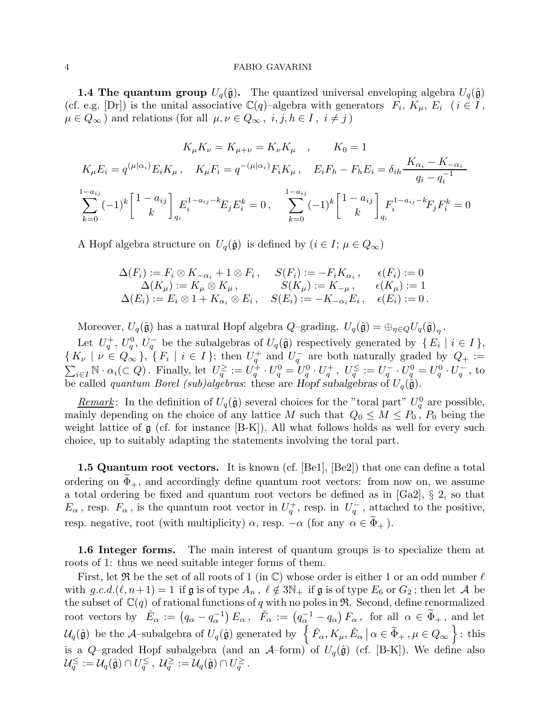**1.4 The quantum group**  $U_q(\hat{\mathfrak{g}})$ . The quantized universal enveloping algebra  $U_q(\hat{\mathfrak{g}})$ (cf. e.g. [Dr]) is the unital associative  $\mathbb{C}(q)$ -algebra with generators  $F_i, K_\mu, E_i$  ( $i \in I$ ,  $\mu \in Q_{\infty}$ ) and relations (for all  $\mu, \nu \in Q_{\infty}$ ,  $i, j, h \in I$ ,  $i \neq j$ )

$$
K_{\mu}K_{\nu} = K_{\mu+\nu} = K_{\nu}K_{\mu} \quad , \qquad K_{0} = 1
$$
  
\n
$$
K_{\mu}E_{i} = q^{(\mu|\alpha_{i})}E_{i}K_{\mu} \quad K_{\mu}F_{i} = q^{-(\mu|\alpha_{i})}F_{i}K_{\mu} \quad E_{i}F_{h} - F_{h}E_{i} = \delta_{ih}\frac{K_{\alpha_{i}} - K_{-\alpha_{i}}}{q_{i} - q_{i}^{-1}}
$$
  
\n
$$
\sum_{k=0}^{1-a_{ij}} (-1)^{k} \begin{bmatrix} 1 - a_{ij} \\ k \end{bmatrix}_{q_{i}} E_{i}^{1-a_{ij} - k} E_{j}E_{i}^{k} = 0 \quad \sum_{k=0}^{1-a_{ij}} (-1)^{k} \begin{bmatrix} 1 - a_{ij} \\ k \end{bmatrix}_{q_{i}} F_{i}^{1-a_{ij} - k} F_{j}F_{i}^{k} = 0
$$

A Hopf algebra structure on  $U_q(\hat{\mathfrak{g}})$  is defined by  $(i \in I; \mu \in Q_{\infty})$ 

$$
\Delta(F_i) := F_i \otimes K_{-\alpha_i} + 1 \otimes F_i, \quad S(F_i) := -F_i K_{\alpha_i}, \quad \epsilon(F_i) := 0
$$
  
\n
$$
\Delta(K_\mu) := K_\mu \otimes K_\mu, \quad S(K_\mu) := K_{-\mu}, \quad \epsilon(K_\mu) := 1
$$
  
\n
$$
\Delta(E_i) := E_i \otimes 1 + K_{\alpha_i} \otimes E_i, \quad S(E_i) := -K_{-\alpha_i} E_i, \quad \epsilon(E_i) := 0.
$$

Moreover,  $U_q(\hat{\mathfrak{g}})$  has a natural Hopf algebra  $Q$ -grading,  $U_q(\hat{\mathfrak{g}}) = \bigoplus_{\eta \in Q} U_q(\hat{\mathfrak{g}})_{\eta}$ .

Let  $U_q^+, U_q^0, U_q^-$  be the subalgebras of  $U_q(\hat{\mathfrak{g}})$  respectively generated by  $\{E_i \mid i \in I\},$  $\{K_{\nu} \mid \nu \in Q_{\infty}\}\$ ,  $\{F_i \mid i \in I\}$ ; then  $U_q^+$  and  $U_q^-$  are both naturally graded by  $Q_+ :=$  $\sum_{i\in I} \mathbb{N} \cdot \alpha_i (\subset Q)$ . Finally, let  $U_q^{\geq} := U_q^{\perp} \cdot U_q^0 = U_q^0 \cdot U_q^+$ ,  $U_q^{\leq} := U_q^- \cdot U_q^0 = U_q^0 \cdot U_q^-$ , to be called *quantum Borel* (sub)algebras: these are Hopf subalgebras of  $U_q(\hat{\phi})$ .

*Remark*: In the definition of  $U_q(\hat{\mathfrak{g}})$  several choices for the "toral part"  $U_q^0$  are possible, mainly depending on the choice of any lattice M such that  $Q_0 \leq M \leq P_0$ ,  $P_0$  being the weight lattice of  $\mathfrak g$  (cf. for instance [B-K]). All what follows holds as well for every such choice, up to suitably adapting the statements involving the toral part.

**1.5 Quantum root vectors.** It is known (cf. [Be1], [Be2]) that one can define a total ordering on  $\Phi_+$ , and accordingly define quantum root vectors: from now on, we assume a total ordering be fixed and quantum root vectors be defined as in [Ga2], § 2, so that  $E_{\alpha}$ , resp.  $F_{\alpha}$ , is the quantum root vector in  $U_q^+$ , resp. in  $U_q^-$ , attached to the positive, resp. negative, root (with multiplicity)  $\alpha$ , resp.  $-\alpha$  (for any  $\alpha \in \Phi_+$ ).

1.6 Integer forms. The main interest of quantum groups is to specialize them at roots of 1: thus we need suitable integer forms of them.

First, let  $\Re$  be the set of all roots of 1 (in  $\mathbb{C}$ ) whose order is either 1 or an odd number  $\ell$ with  $g.c.d.(\ell, n+1) = 1$  if  $\mathfrak g$  is of type  $A_n$ ,  $\ell \notin 3\mathbb{N}_+$  if  $\mathfrak g$  is of type  $E_6$  or  $G_2$ ; then let A be the subset of  $\mathbb{C}(q)$  of rational functions of q with no poles in  $\mathfrak{R}$ . Second, define renormalized root vectors by  $\check{E}_{\alpha} := (q_{\alpha} - q_{\alpha}^{-1}) E_{\alpha}$ ,  $\check{F}_{\alpha} := (q_{\alpha}^{-1} - q_{\alpha}) F_{\alpha}$ , for all  $\alpha \in \widetilde{\Phi}_{+}$ , and let  $\mathcal{U}_q(\hat{\mathfrak{g}})$  be the A-subalgebra of  $U_q(\hat{\mathfrak{g}})$  generated by  $\left\{\check{F}_\alpha, K_\mu, \check{E}_\alpha \,|\, \alpha \in \widetilde{\Phi}_+, \mu \in Q_\infty\right\}$ : this is a Q–graded Hopf subalgebra (and an  $\mathcal{A}$ –form) of  $U_q(\hat{\mathfrak{g}})$  (cf. [B-K]). We define also  $\mathcal{U}_q^{\leq}:=\mathcal{U}_q(\hat{\mathfrak{g}})\cap U_q^{\leq}$  ,  $\mathcal{U}_q^{\geq}:=\mathcal{U}_q(\hat{\mathfrak{g}})\cap U_q^{\geq}$  .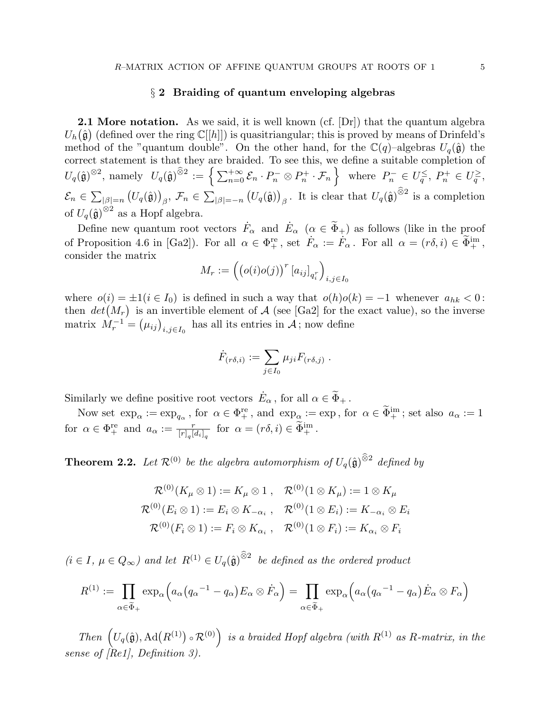# $\S 2$  Braiding of quantum enveloping algebras

**2.1 More notation.** As we said, it is well known (cf.  $[Dr]$ ) that the quantum algebra  $U_h(\hat{\mathfrak{g}})$  (defined over the ring  $\mathbb{C}[[h]]$ ) is quasitriangular; this is proved by means of Drinfeld's method of the "quantum double". On the other hand, for the  $\mathbb{C}(q)$ -algebras  $U_q(\hat{\mathfrak{g}})$  the correct statement is that they are braided. To see this, we define a suitable completion of  $U_q(\hat{\mathfrak{g}})^{\otimes 2}$ , namely  $U_q(\hat{\mathfrak{g}})^{\widehat{\otimes} 2} := \left\{ \sum_{n=0}^{+\infty} \mathcal{E}_n \cdot P_n^- \otimes P_n^+ \cdot \mathcal{F}_n \right\}$  where  $P_n^- \in U_q^{\leq}$ ,  $P_n^+ \in U_q^{\geq}$ ,  $\mathcal{E}_n \in \sum_{|\beta|=n} (U_q(\hat{\mathfrak{g}}))_{\beta}, \ \mathcal{F}_n \in \sum_{|\beta|=-n} (U_q(\hat{\mathfrak{g}}))_{\beta}.$  It is clear that  $U_q(\hat{\mathfrak{g}})^{\widehat{\otimes}2}$  is a completion of  $U_q(\hat{\mathfrak{g}})^{\otimes 2}$  as a Hopf algebra.

Define new quantum root vectors  $F_{\alpha}$  and  $E_{\alpha}$  ( $\alpha \in \tilde{\Phi}_{+}$ ) as follows (like in the proof of Proposition 4.6 in [Ga2]). For all  $\alpha \in \Phi_{+}^{\text{re}}$ , set  $\dot{F}_{\alpha} := \dot{F}_{\alpha}$ . For all  $\alpha = (r\delta, i) \in \tilde{\Phi}_{+}^{\text{im}}$ , consider the matrix

$$
M_r := \left( \left( o(i)o(j) \right)^r [a_{ij}]_{q_i^r} \right)_{i,j \in I_0}
$$

where  $o(i) = \pm 1(i \in I_0)$  is defined in such a way that  $o(h)o(k) = -1$  whenever  $a_{hk} < 0$ : then  $det(M_r)$  is an invertible element of A (see [Ga2] for the exact value), so the inverse matrix  $\hat{M}_r^{-1} = (\mu_{ij})_{i,j \in I_0}$  has all its entries in A; now define

$$
\dot{F}_{(r\delta,i)} := \sum_{j\in I_0} \mu_{ji} F_{(r\delta,j)} .
$$

Similarly we define positive root vectors  $\dot{E}_{\alpha}$ , for all  $\alpha \in \tilde{\Phi}_{+}$ .

Now set  $\exp_{\alpha} := \exp_{q_{\alpha}}$ , for  $\alpha \in \Phi_{+}^{\text{re}}$ , and  $\exp_{\alpha} := \exp$ , for  $\alpha \in \Phi_{+}^{\text{im}}$ ; set also  $a_{\alpha} := 1$ for  $\alpha \in \Phi_{+}^{\text{re}}$  and  $a_{\alpha} := \frac{r}{[r]_q [d_i]_q}$  for  $\alpha = (r\delta, i) \in \widetilde{\Phi}_{+}^{\text{im}}$ .

**Theorem 2.2.** Let  $\mathcal{R}^{(0)}$  be the algebra automorphism of  $U_q(\hat{\mathfrak{g}})^{\widehat{\otimes}2}$  defined by

$$
\mathcal{R}^{(0)}(K_{\mu}\otimes 1) := K_{\mu}\otimes 1\,,\quad \mathcal{R}^{(0)}(1\otimes K_{\mu}) := 1\otimes K_{\mu}
$$
\n
$$
\mathcal{R}^{(0)}(E_i\otimes 1) := E_i\otimes K_{-\alpha_i}\,,\quad \mathcal{R}^{(0)}(1\otimes E_i) := K_{-\alpha_i}\otimes E_i
$$
\n
$$
\mathcal{R}^{(0)}(F_i\otimes 1) := F_i\otimes K_{\alpha_i}\,,\quad \mathcal{R}^{(0)}(1\otimes F_i) := K_{\alpha_i}\otimes F_i
$$

 $(i \in I, \mu \in Q_{\infty})$  and let  $R^{(1)} \in U_q(\hat{\mathfrak{g}})^{\widehat{\otimes}2}$  be defined as the ordered product

$$
R^{(1)} := \prod_{\alpha \in \widetilde{\Phi}_+} \exp_\alpha \Big( a_\alpha (q_\alpha \alpha^{-1} - q_\alpha) E_\alpha \otimes \dot{F}_\alpha \Big) = \prod_{\alpha \in \widetilde{\Phi}_+} \exp_\alpha \Big( a_\alpha (q_\alpha \alpha^{-1} - q_\alpha) \dot{E}_\alpha \otimes F_\alpha \Big)
$$

Then  $(U_q(\hat{\mathfrak{g}}), \text{Ad}(R^{(1)}) \circ \mathcal{R}^{(0)})$  is a braided Hopf algebra (with  $R^{(1)}$  as R-matrix, in the sense of [Re1], Definition 3).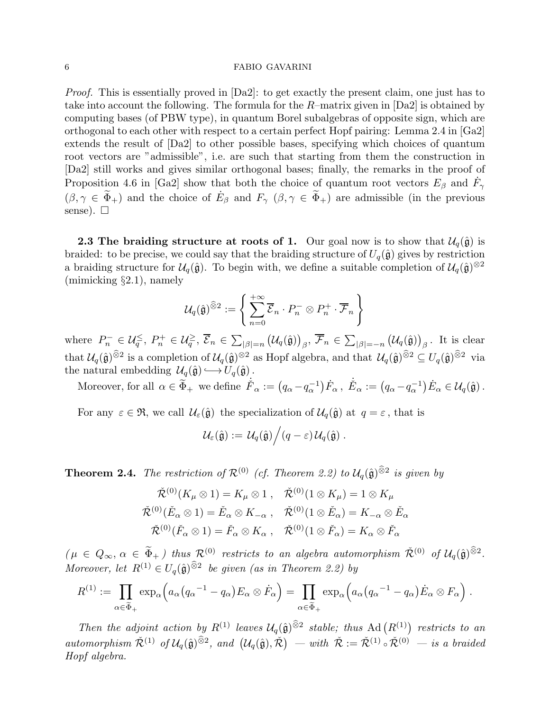Proof. This is essentially proved in [Da2]: to get exactly the present claim, one just has to take into account the following. The formula for the  $R$ -matrix given in [Da2] is obtained by computing bases (of PBW type), in quantum Borel subalgebras of opposite sign, which are orthogonal to each other with respect to a certain perfect Hopf pairing: Lemma 2.4 in [Ga2] extends the result of [Da2] to other possible bases, specifying which choices of quantum root vectors are "admissible", i.e. are such that starting from them the construction in [Da2] still works and gives similar orthogonal bases; finally, the remarks in the proof of Proposition 4.6 in [Ga2] show that both the choice of quantum root vectors  $E_\beta$  and  $\dot{F}_\gamma$  $(\beta, \gamma \in \widetilde{\Phi}_+)$  and the choice of  $E_{\beta}$  and  $F_{\gamma}$   $(\beta, \gamma \in \widetilde{\Phi}_+)$  are admissible (in the previous sense).  $\square$ 

**2.3** The braiding structure at roots of 1. Our goal now is to show that  $\mathcal{U}_q(\hat{\mathfrak{g}})$  is braided: to be precise, we could say that the braiding structure of  $U_q(\hat{\mathfrak{g}})$  gives by restriction a braiding structure for  $U_q(\hat{\mathfrak{g}})$ . To begin with, we define a suitable completion of  $U_q(\hat{\mathfrak{g}})^{\otimes 2}$ (mimicking §2.1), namely

$$
\mathcal{U}_q(\hat{\mathfrak{g}})^{\widehat{\otimes} 2} := \Bigg\{ \sum_{n=0}^{+\infty} \overline{\mathcal{E}}_n \cdot P_n^- \otimes P_n^+ \cdot \overline{\mathcal{F}}_n \Bigg\}
$$

where  $P_n^- \in \mathcal{U}_{q}^{\leq}$ ,  $P_n^+ \in \mathcal{U}_{q}^{\geq}$ ,  $\overline{\mathcal{E}}_n \in \sum_{|\beta|=n} (\mathcal{U}_q(\hat{\mathfrak{g}}))_{\beta}$ ,  $\overline{\mathcal{F}}_n \in \sum_{|\beta|=-n} (\mathcal{U}_q(\hat{\mathfrak{g}}))_{\beta}$ . It is clear that  $\mathcal{U}_q(\hat{\mathfrak{g}})^{\widehat{\otimes}2}$  is a completion of  $\mathcal{U}_q(\hat{\mathfrak{g}})^{\otimes2}$  as Hopf algebra, and that  $\mathcal{U}_q(\hat{\mathfrak{g}})^{\widehat{\otimes}2} \subseteq U_q(\hat{\mathfrak{g}})^{\widehat{\otimes}2}$  via the natural embedding  $\mathcal{U}_q(\hat{\mathfrak{g}}) \longrightarrow U_q(\hat{\mathfrak{g}})$ .

Moreover, for all  $\alpha \in \widetilde{\Phi}_+$  we define  $\dot{\mathring{F}}_{\alpha} := (q_{\alpha} - q_{\alpha}^{-1}) \dot{F}_{\alpha}$ ,  $\dot{\mathring{E}}_{\alpha} := (q_{\alpha} - q_{\alpha}^{-1}) \dot{E}_{\alpha} \in \mathcal{U}_q(\hat{\mathfrak{g}})$ .

For any  $\varepsilon \in \mathfrak{R}$ , we call  $\mathcal{U}_{\varepsilon}(\hat{\mathfrak{g}})$  the specialization of  $\mathcal{U}_q(\hat{\mathfrak{g}})$  at  $q = \varepsilon$ , that is

$$
\mathcal{U}_{\varepsilon}(\hat{\mathfrak{g}}) := \mathcal{U}_q(\hat{\mathfrak{g}}) / (q - \varepsilon) \mathcal{U}_q(\hat{\mathfrak{g}}).
$$

**Theorem 2.4.** The restriction of  $\mathcal{R}^{(0)}$  (cf. Theorem 2.2) to  $\mathcal{U}_q(\hat{\mathfrak{g}})^{\widehat{\otimes}2}$  is given by

$$
\tilde{\mathcal{R}}^{(0)}(K_{\mu} \otimes 1) = K_{\mu} \otimes 1, \quad \tilde{\mathcal{R}}^{(0)}(1 \otimes K_{\mu}) = 1 \otimes K_{\mu}
$$
\n
$$
\tilde{\mathcal{R}}^{(0)}(\tilde{E}_{\alpha} \otimes 1) = \tilde{E}_{\alpha} \otimes K_{-\alpha}, \quad \tilde{\mathcal{R}}^{(0)}(1 \otimes \tilde{E}_{\alpha}) = K_{-\alpha} \otimes \tilde{E}_{\alpha}
$$
\n
$$
\tilde{\mathcal{R}}^{(0)}(\tilde{F}_{\alpha} \otimes 1) = \tilde{F}_{\alpha} \otimes K_{\alpha}, \quad \tilde{\mathcal{R}}^{(0)}(1 \otimes \tilde{F}_{\alpha}) = K_{\alpha} \otimes \tilde{F}_{\alpha}
$$

 $(\mu \in Q_{\infty}, \alpha \in \widetilde{\Phi}_{+})$  thus  $\mathcal{R}^{(0)}$  restricts to an algebra automorphism  $\check{\mathcal{R}}^{(0)}$  of  $\mathcal{U}_q(\hat{\mathfrak{g}})^{\widehat{\otimes}2}$ . Moreover, let  $R^{(1)} \in U_q(\hat{\mathfrak{g}})^{\widehat{\otimes}2}$  be given (as in Theorem 2.2) by

$$
R^{(1)} := \prod_{\alpha \in \widetilde{\Phi}_+} \exp_\alpha \Big( a_\alpha (q_\alpha{}^{-1} - q_\alpha) E_\alpha \otimes \dot{F}_\alpha \Big) = \prod_{\alpha \in \widetilde{\Phi}_+} \exp_\alpha \Big( a_\alpha (q_\alpha{}^{-1} - q_\alpha) \dot{E}_\alpha \otimes F_\alpha \Big) .
$$

Then the adjoint action by  $R^{(1)}$  leaves  $\mathcal{U}_q(\hat{\mathfrak{g}})^{\widehat{\otimes}2}$  stable; thus Ad  $(R^{(1)})$  restricts to an automorphism  $\tilde{\mathcal{R}}^{(1)}$  of  $\mathcal{U}_q(\hat{\mathfrak{g}})^{\widehat{\otimes}2}$ , and  $(\mathcal{U}_q(\hat{\mathfrak{g}}), \tilde{\mathcal{R}})$  – with  $\tilde{\mathcal{R}} := \tilde{\mathcal{R}}^{(1)} \circ \tilde{\mathcal{R}}^{(0)}$  – is a braided Hopf algebra.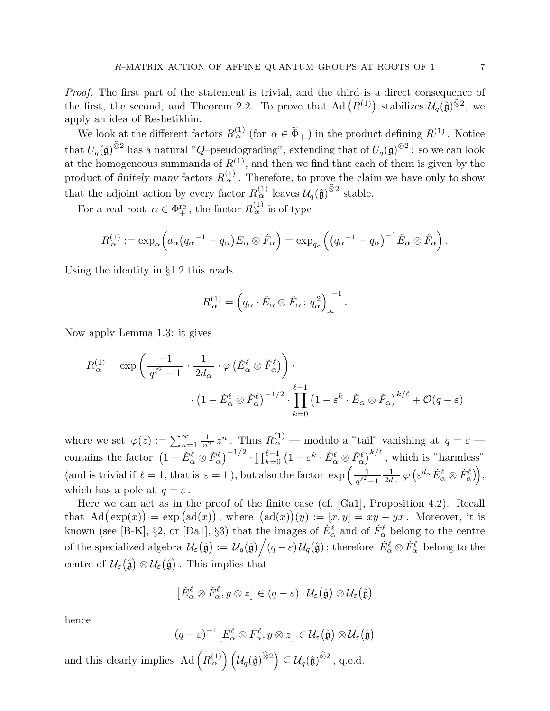Proof. The first part of the statement is trivial, and the third is a direct consequence of the first, the second, and Theorem 2.2. To prove that Ad  $(R^{(1)})$  stabilizes  $\mathcal{U}_q(\hat{\mathfrak{g}})^{\widehat{\otimes}2}$ , we apply an idea of Reshetikhin.

We look at the different factors  $R_{\alpha}^{(1)}$  (for  $\alpha \in \widetilde{\Phi}_{+}$ ) in the product defining  $R^{(1)}$ . Notice that  $U_q(\hat{\mathfrak{g}})^{\widehat{\otimes}2}$  has a natural "Q–pseudograding", extending that of  $U_q(\hat{\mathfrak{g}})^{\otimes2}$ : so we can look at the homogeneous summands of  $R^{(1)}$ , and then we find that each of them is given by the product of finitely many factors  $R_{\alpha}^{(1)}$ . Therefore, to prove the claim we have only to show that the adjoint action by every factor  $R_{\alpha}^{(1)}$  leaves  $\mathcal{U}_q(\hat{\mathfrak{g}})^{\widehat{\otimes}2}$  stable.

For a real root  $\alpha \in \Phi_+^{\text{re}}$ , the factor  $R_\alpha^{(1)}$  is of type

$$
R_{\alpha}^{(1)} := \exp_{\alpha}\left(a_{\alpha}(q_{\alpha}^{-1} - q_{\alpha})E_{\alpha} \otimes \dot{F}_{\alpha}\right) = \exp_{q_{\alpha}}\left(\left(q_{\alpha}^{-1} - q_{\alpha}\right)^{-1}\check{E}_{\alpha} \otimes \check{F}_{\alpha}\right).
$$

Using the identity in §1.2 this reads

$$
R_{\alpha}^{(1)} = \left(q_{\alpha} \cdot \check{E}_{\alpha} \otimes \check{F}_{\alpha} ; q_{\alpha}^{2}\right)_{\infty}^{-1}.
$$

Now apply Lemma 1.3: it gives

$$
R_{\alpha}^{(1)} = \exp\left(\frac{-1}{q^{\ell^2} - 1} \cdot \frac{1}{2d_{\alpha}} \cdot \varphi\left(\check{E}_{\alpha}^{\ell} \otimes \check{F}_{\alpha}^{\ell}\right)\right) \cdot \left(1 - \check{E}_{\alpha}^{\ell} \otimes \check{F}_{\alpha}^{\ell}\right)^{-1/2} \cdot \prod_{k=0}^{\ell-1} \left(1 - \varepsilon^k \cdot \check{E}_{\alpha} \otimes \check{F}_{\alpha}\right)^{k/\ell} + \mathcal{O}(q - \varepsilon)
$$

where we set  $\varphi(z) := \sum_{n=1}^{\infty}$  $\frac{1}{n^2} z^n$ . Thus  $R_{\alpha}^{(1)}$  — modulo a "tail" vanishing at  $q = \varepsilon$  contains the factor  $(1 - \check{E}_{\alpha}^{\ell} \otimes \check{F}_{\alpha}^{\ell})^{-1/2} \cdot \prod_{k=0}^{\ell-1} (1 - \varepsilon^{k} \cdot \check{E}_{\alpha}^{\ell} \otimes \check{F}_{\alpha}^{\ell})^{k/\ell}$ , which is "harmless" (and is trivial if  $\ell = 1$ , that is  $\varepsilon = 1$ ), but also the factor  $\exp\left(-\frac{1}{\varepsilon^2}\right)$  $q^{\ell^{\,2}}\!-\!1$ 1  $\frac{1}{2d_{\alpha}}\,\varphi\left(\varepsilon^{d_{\alpha}}\check{E}^{\ell}_{\alpha}\otimes\check{F}^{\ell}_{\alpha}\right)\right)\!,$ which has a pole at  $q = \varepsilon$ .

Here we can act as in the proof of the finite case (cf. [Ga1], Proposition 4.2). Recall that  $\text{Ad}(\exp(x)) = \exp(\text{ad}(x))$ , where  $(\text{ad}(x))(y) := [x, y] = xy - yx$ . Moreover, it is known (see [B-K], §2, or [Da1], §3) that the images of  $\check{E}^{\ell}_{\alpha}$  and of  $\check{F}^{\ell}_{\alpha}$  belong to the centre of the specialized algebra  $\mathcal{U}_{\varepsilon}(\hat{\mathfrak{g}}) := \mathcal{U}_q(\hat{\mathfrak{g}}) / (q - \varepsilon) \mathcal{U}_q(\hat{\mathfrak{g}})$ ; therefore  $\check{E}^{\ell}_{\alpha} \otimes \check{F}^{\ell}_{\alpha}$  belong to the centre of  $\mathcal{U}_{\varepsilon}(\hat{\mathfrak{g}}) \otimes \mathcal{U}_{\varepsilon}(\hat{\mathfrak{g}})$ . This implies that

$$
\left[\check{E}^{\ell}_{\alpha}\otimes\check{F}^{\ell}_{\alpha},y\otimes z\right]\in(q-\varepsilon)\cdot\mathcal{U}_{\varepsilon}\big(\hat{\mathfrak{g}}\big)\otimes\mathcal{U}_{\varepsilon}\big(\hat{\mathfrak{g}}\big)
$$

hence

$$
(q-\varepsilon)^{-1}\big[\check{E}^{\ell}_{\alpha}\otimes\check{F}^{\ell}_{\alpha},y\otimes z\big]\in\mathcal{U}_{\varepsilon}\big(\hat{\mathfrak{g}}\big)\otimes\mathcal{U}_{\varepsilon}\big(\hat{\mathfrak{g}}\big)
$$

and this clearly implies Ad  $(R_{\alpha}^{(1)}) \left( \mathcal{U}_q(\hat{\mathfrak{g}})^{\widehat{\otimes}2} \right) \subseteq \mathcal{U}_q(\hat{\mathfrak{g}})^{\widehat{\otimes}2}$ , q.e.d.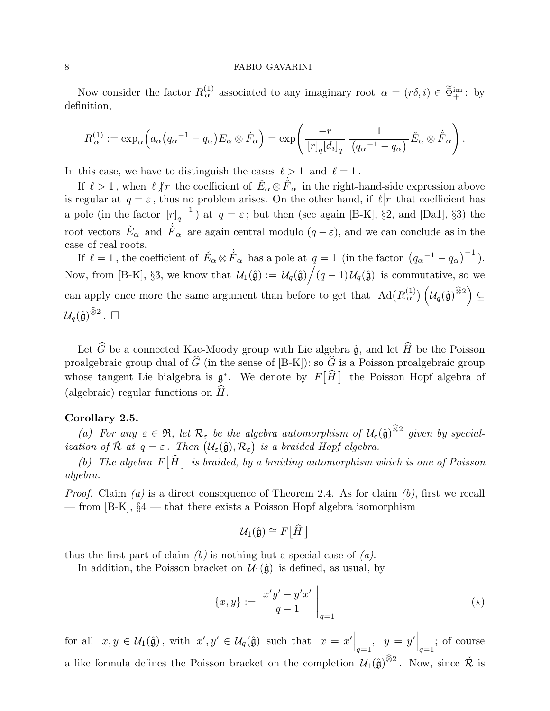Now consider the factor  $R_{\alpha}^{(1)}$  associated to any imaginary root  $\alpha = (r\delta, i) \in \widetilde{\Phi}_{+}^{\text{im}}$ : by definition,

$$
R_{\alpha}^{(1)} := \exp_{\alpha}\left(a_{\alpha}(q_{\alpha}^{-1} - q_{\alpha})E_{\alpha} \otimes \dot{F}_{\alpha}\right) = \exp\left(\frac{-r}{[r]_q [d_i]_q} \frac{1}{(q_{\alpha}^{-1} - q_{\alpha})} \check{E}_{\alpha} \otimes \dot{\check{F}}_{\alpha}\right).
$$

In this case, we have to distinguish the cases  $\ell > 1$  and  $\ell = 1$ .

If  $\ell > 1$ , when  $\ell \not| r$  the coefficient of  $\check{E}_{\alpha} \otimes \check{F}_{\alpha}$  in the right-hand-side expression above is regular at  $q = \varepsilon$ , thus no problem arises. On the other hand, if  $\ell | r$  that coefficient has a pole (in the factor  $[r]_q$ <sup>-1</sup>) at  $q = \varepsilon$ ; but then (see again [B-K], §2, and [Da1], §3) the root vectors  $\check{E}_{\alpha}$  and  $\dot{\check{F}}_{\alpha}$  are again central modulo  $(q-\varepsilon)$ , and we can conclude as in the case of real roots.

If  $\ell = 1$ , the coefficient of  $\check{E}_{\alpha} \otimes \check{F}_{\alpha}$  has a pole at  $q = 1$  (in the factor  $(q_{\alpha}^{-1} - q_{\alpha})^{-1}$ ). Now, from [B-K], §3, we know that  $\mathcal{U}_1(\hat{\mathfrak{g}}) := \mathcal{U}_q(\hat{\mathfrak{g}}) / (q-1) \mathcal{U}_q(\hat{\mathfrak{g}})$  is commutative, so we can apply once more the same argument than before to get that  $\text{Ad}(R_{\alpha}^{(1)}) \left( \mathcal{U}_q(\hat{\mathfrak{g}})^{\widehat{\otimes}2} \right) \subseteq$  $\mathcal{U}_q(\hat{\mathfrak{g}})^{\widehat{\otimes} 2}$  .  $\Box$ 

Let  $\widehat{G}$  be a connected Kac-Moody group with Lie algebra  $\hat{\mathfrak{g}}$ , and let  $\widehat{H}$  be the Poisson proalgebraic group dual of  $\widehat{G}$  (in the sense of [B-K]): so  $\widehat{G}$  is a Poisson proalgebraic group whose tangent Lie bialgebra is  $\mathfrak{g}^*$ . We denote by  $F[\widehat{H}]$  the Poisson Hopf algebra of (algebraic) regular functions on  $\hat{H}$ .

# Corollary 2.5.

(a) For any  $\varepsilon \in \mathfrak{R}$ , let  $\mathcal{R}_{\varepsilon}$  be the algebra automorphism of  $\mathcal{U}_{\varepsilon}(\hat{\mathfrak{g}})^{\widehat{\otimes}2}$  given by specialization of  $\check{\mathcal{R}}$  at  $q = \varepsilon$ . Then  $(\mathcal{U}_{\varepsilon}(\hat{\mathfrak{g}}), \mathcal{R}_{\varepsilon})$  is a braided Hopf algebra.

(b) The algebra  $F[\hat{H}]$  is braided, by a braiding automorphism which is one of Poisson algebra.

*Proof.* Claim (a) is a direct consequence of Theorem 2.4. As for claim (b), first we recall — from [B-K], §4 — that there exists a Poisson Hopf algebra isomorphism

$$
\mathcal{U}_1(\hat{\mathfrak{g}})\cong F\big[\widehat{H}\,\big]
$$

thus the first part of claim  $(b)$  is nothing but a special case of  $(a)$ .

In addition, the Poisson bracket on  $\mathcal{U}_1(\hat{\mathfrak{g}})$  is defined, as usual, by

$$
\{x, y\} := \frac{x'y' - y'x'}{q - 1}\Big|_{q = 1} \tag{(*)}
$$

for all  $x, y \in \mathcal{U}_1(\hat{\mathfrak{g}})$ , with  $x', y' \in \mathcal{U}_q(\hat{\mathfrak{g}})$  such that  $x = x' \Big|_{q=1}$ ,  $y = y' \Big|_{q=1}$ ; of course a like formula defines the Poisson bracket on the completion  $\mathcal{U}_1(\hat{\mathfrak{g}})^{\widehat{\otimes}2}$ . Now, since  $\check{\mathcal{R}}$  is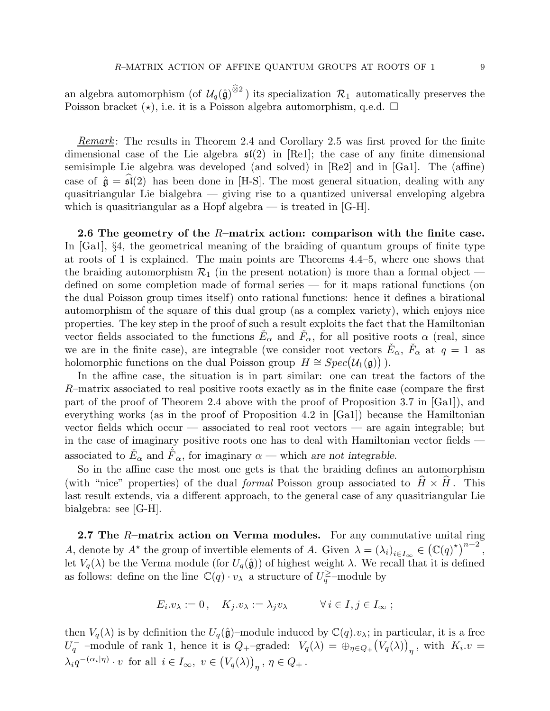an algebra automorphism (of  $\mathcal{U}_q(\hat{\mathfrak{g}})^{\widehat{\otimes}2}$ ) its specialization  $\mathcal{R}_1$  automatically preserves the Poisson bracket  $(\star)$ , i.e. it is a Poisson algebra automorphism, q.e.d.  $\Box$ 

*Remark*: The results in Theorem 2.4 and Corollary 2.5 was first proved for the finite dimensional case of the Lie algebra  $\mathfrak{sl}(2)$  in [Re1]; the case of any finite dimensional semisimple Lie algebra was developed (and solved) in [Re2] and in [Ga1]. The (affine) case of  $\hat{\mathfrak{g}} = \hat{\mathfrak{sl}}(2)$  has been done in [H-S]. The most general situation, dealing with any quasitriangular Lie bialgebra — giving rise to a quantized universal enveloping algebra which is quasitriangular as a Hopf algebra  $-$  is treated in [G-H].

2.6 The geometry of the  $R$ -matrix action: comparison with the finite case. In [Ga1], §4, the geometrical meaning of the braiding of quantum groups of finite type at roots of 1 is explained. The main points are Theorems 4.4–5, where one shows that the braiding automorphism  $\mathcal{R}_1$  (in the present notation) is more than a formal object defined on some completion made of formal series — for it maps rational functions (on the dual Poisson group times itself) onto rational functions: hence it defines a birational automorphism of the square of this dual group (as a complex variety), which enjoys nice properties. The key step in the proof of such a result exploits the fact that the Hamiltonian vector fields associated to the functions  $\check{E}_{\alpha}$  and  $\check{F}_{\alpha}$ , for all positive roots  $\alpha$  (real, since we are in the finite case), are integrable (we consider root vectors  $\check{E}_{\alpha}$ ,  $\check{F}_{\alpha}$  at  $q=1$  as holomorphic functions on the dual Poisson group  $H \cong Spec(\mathcal{U}_1(\mathfrak{g}))$ .

In the affine case, the situation is in part similar: one can treat the factors of the R–matrix associated to real positive roots exactly as in the finite case (compare the first part of the proof of Theorem 2.4 above with the proof of Proposition 3.7 in [Ga1]), and everything works (as in the proof of Proposition 4.2 in [Ga1]) because the Hamiltonian vector fields which occur — associated to real root vectors — are again integrable; but in the case of imaginary positive roots one has to deal with Hamiltonian vector fields associated to  $\check{E}_{\alpha}$  and  $\check{F}_{\alpha}$ , for imaginary  $\alpha$  — which are not integrable.

So in the affine case the most one gets is that the braiding defines an automorphism (with "nice" properties) of the dual *formal* Poisson group associated to  $\hat{H} \times \hat{H}$ . This last result extends, via a different approach, to the general case of any quasitriangular Lie bialgebra: see [G-H].

**2.7 The R-matrix action on Verma modules.** For any commutative unital ring A, denote by  $A^*$  the group of invertible elements of A. Given  $\lambda = (\lambda_i)_{i \in I_\infty} \in (\mathbb{C}(q)^*)^{n+2}$ , let  $V_q(\lambda)$  be the Verma module (for  $U_q(\hat{\mathfrak{g}})$ ) of highest weight  $\lambda$ . We recall that it is defined as follows: define on the line  $\mathbb{C}(q) \cdot v_{\lambda}$  a structure of  $U_q^{\geq}$ -module by

$$
E_i \cdot v_\lambda := 0 \,, \quad K_j \cdot v_\lambda := \lambda_j v_\lambda \qquad \forall \, i \in I, j \in I_\infty \, ;
$$

then  $V_q(\lambda)$  is by definition the  $U_q(\hat{\mathfrak{g}})$ -module induced by  $\mathbb{C}(q).v_\lambda$ ; in particular, it is a free  $U_q^-$  -module of rank 1, hence it is  $Q_+$ -graded:  $V_q(\lambda) = \bigoplus_{\eta \in Q_+} (V_q(\lambda))_{\eta}$ , with  $K_i \cdot v =$  $\lambda_i q^{-(\alpha_i|\eta)} \cdot v$  for all  $i \in I_\infty$ ,  $v \in (V_q(\lambda))_{\eta}$ ,  $\eta \in Q_+$ .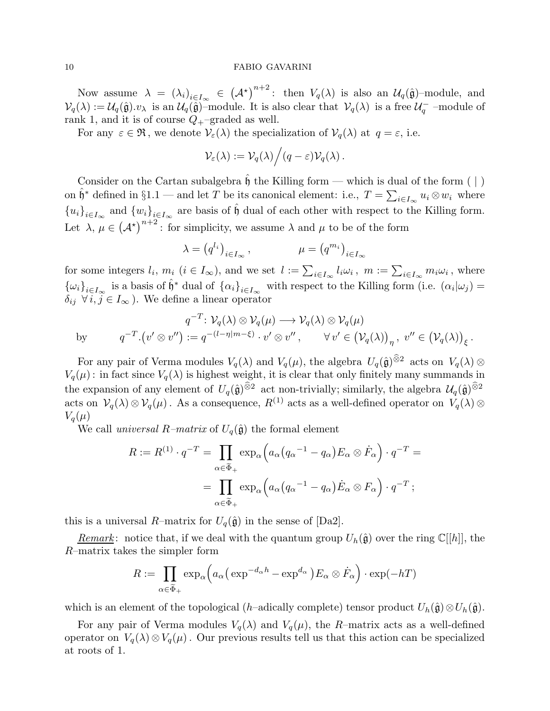Now assume  $\lambda = (\lambda_i)_{i \in I_\infty} \in (\mathcal{A}^{\star})^{n+2}$ : then  $V_q(\lambda)$  is also an  $\mathcal{U}_q(\hat{\mathfrak{g}})$ -module, and  $\mathcal{V}_q(\lambda) := \mathcal{U}_q(\hat{\mathfrak{g}}).v_\lambda$  is an  $\mathcal{U}_q(\hat{\mathfrak{g}})$ -module. It is also clear that  $\mathcal{V}_q(\lambda)$  is a free  $\mathcal{U}_q^-$ -module of rank 1, and it is of course  $Q_{+}$ -graded as well.

For any  $\varepsilon \in \mathfrak{R}$ , we denote  $\mathcal{V}_{\varepsilon}(\lambda)$  the specialization of  $\mathcal{V}_{q}(\lambda)$  at  $q = \varepsilon$ , i.e.

$$
\mathcal{V}_{\varepsilon}(\lambda) := \mathcal{V}_q(\lambda) / (q - \varepsilon) \mathcal{V}_q(\lambda) .
$$

Consider on the Cartan subalgebra  $\mathfrak{h}$  the Killing form — which is dual of the form ( | ) on  $\hat{\mathfrak{h}}^*$  defined in §1.1 — and let T be its canonical element: i.e.,  $T = \sum_{i \in I_{\infty}} u_i \otimes w_i$  where  ${u_i}_{i\in I_\infty}$  and  ${w_i}_{i\in I_\infty}$  are basis of  $\hat{\mathfrak{h}}$  dual of each other with respect to the Killing form. Let  $\lambda, \mu \in (\mathcal{A}^*)^{n+2}$ : for simplicity, we assume  $\lambda$  and  $\mu$  to be of the form

$$
\lambda = (q^{l_i})_{i \in I_\infty}, \qquad \mu = (q^{m_i})_{i \in I_\infty}
$$

for some integers  $l_i$ ,  $m_i$   $(i \in I_\infty)$ , and we set  $l := \sum_{i \in I_\infty} l_i \omega_i$ ,  $m := \sum_{i \in I_\infty} m_i \omega_i$ , where  ${\{\omega_i\}}_{i\in I_\infty}$  is a basis of  $\hat{\mathfrak{h}}^*$  dual of  ${\{\alpha_i\}}_{i\in I_\infty}$  with respect to the Killing form (i.e.  $(\alpha_i|\omega_j)$ )  $\delta_{ij}$   $\forall i, j \in I_{\infty}$ ). We define a linear operator

$$
q^{-T} : \mathcal{V}_q(\lambda) \otimes \mathcal{V}_q(\mu) \longrightarrow \mathcal{V}_q(\lambda) \otimes \mathcal{V}_q(\mu)
$$
  
by 
$$
q^{-T} \cdot (v' \otimes v'') := q^{-(l-\eta|m-\xi)} \cdot v' \otimes v'', \qquad \forall v' \in (\mathcal{V}_q(\lambda))_{\eta}, v'' \in (\mathcal{V}_q(\lambda))_{\xi}.
$$

For any pair of Verma modules  $V_q(\lambda)$  and  $V_q(\mu)$ , the algebra  $U_q(\hat{\mathfrak{g}})^{\widehat{\otimes}2}$  acts on  $V_q(\lambda)$  $V_q(\mu)$ : in fact since  $V_q(\lambda)$  is highest weight, it is clear that only finitely many summands in the expansion of any element of  $U_q(\hat{\mathfrak{g}})^{\widehat{\otimes}2}$  act non-trivially; similarly, the algebra  $\mathcal{U}_q(\hat{\mathfrak{g}})^{\widehat{\otimes}2}$ acts on  $\mathcal{V}_q(\lambda) \otimes \mathcal{V}_q(\mu)$ . As a consequence,  $R^{(1)}$  acts as a well-defined operator on  $V_q(\lambda) \otimes$  $V_q(\mu)$ 

We call universal R–matrix of  $U_q(\hat{\mathfrak{g}})$  the formal element

$$
R := R^{(1)} \cdot q^{-T} = \prod_{\alpha \in \widetilde{\Phi}_+} \exp_{\alpha} \left( a_{\alpha} (q_{\alpha}^{-1} - q_{\alpha}) E_{\alpha} \otimes \dot{F}_{\alpha} \right) \cdot q^{-T} =
$$

$$
= \prod_{\alpha \in \widetilde{\Phi}_+} \exp_{\alpha} \left( a_{\alpha} (q_{\alpha}^{-1} - q_{\alpha}) \dot{E}_{\alpha} \otimes F_{\alpha} \right) \cdot q^{-T} ;
$$

this is a universal R–matrix for  $U_q(\hat{\mathfrak{g}})$  in the sense of [Da2].

Remark: notice that, if we deal with the quantum group  $U_h(\hat{\mathfrak{g}})$  over the ring  $\mathbb{C}[[h]]$ , the R–matrix takes the simpler form

$$
R := \prod_{\alpha \in \widetilde{\Phi}_+} \exp_{\alpha} \left( a_{\alpha} \left( \exp^{-d_{\alpha}h} - \exp^{d_{\alpha}} \right) E_{\alpha} \otimes \dot{F}_{\alpha} \right) \cdot \exp(-hT)
$$

which is an element of the topological (h–adically complete) tensor product  $U_h(\hat{\mathfrak{g}})\otimes U_h(\hat{\mathfrak{g}})$ .

For any pair of Verma modules  $V_q(\lambda)$  and  $V_q(\mu)$ , the R-matrix acts as a well-defined operator on  $V_q(\lambda) \otimes V_q(\mu)$ . Our previous results tell us that this action can be specialized at roots of 1.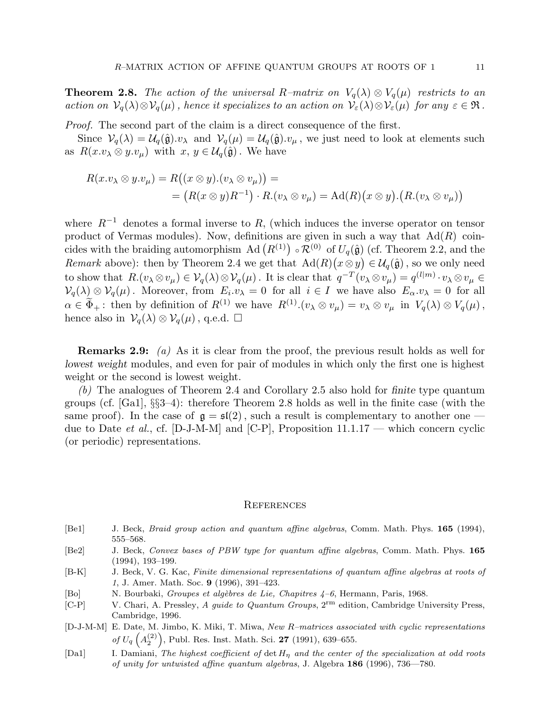**Theorem 2.8.** The action of the universal R–matrix on  $V_q(\lambda) \otimes V_q(\mu)$  restricts to an action on  $\mathcal{V}_q(\lambda)\otimes\mathcal{V}_q(\mu)$ , hence it specializes to an action on  $\mathcal{V}_\varepsilon(\lambda)\otimes\mathcal{V}_\varepsilon(\mu)$  for any  $\varepsilon\in\mathfrak{R}$ .

Proof. The second part of the claim is a direct consequence of the first.

Since  $\mathcal{V}_q(\lambda) = \mathcal{U}_q(\hat{\mathfrak{g}}).v_\lambda$  and  $\mathcal{V}_q(\mu) = \mathcal{U}_q(\hat{\mathfrak{g}}).v_\mu$ , we just need to look at elements such as  $R(x.v_\lambda \otimes y.v_\mu)$  with  $x, y \in \mathcal{U}_q(\hat{\mathfrak{g}})$ . We have

$$
R(x.v_{\lambda} \otimes y.v_{\mu}) = R((x \otimes y).(v_{\lambda} \otimes v_{\mu})) =
$$
  
=  $(R(x \otimes y)R^{-1}) \cdot R.(v_{\lambda} \otimes v_{\mu}) = \text{Ad}(R)(x \otimes y).(R.(v_{\lambda} \otimes v_{\mu}))$ 

where  $R^{-1}$  denotes a formal inverse to R, (which induces the inverse operator on tensor product of Vermas modules). Now, definitions are given in such a way that  $Ad(R)$  coincides with the braiding automorphism Ad  $(R^{(1)}) \circ \mathcal{R}^{(0)}$  of  $U_q(\hat{\mathfrak{g}})$  (cf. Theorem 2.2, and the Remark above): then by Theorem 2.4 we get that  $\text{Ad}(R)(x \otimes y) \in \mathcal{U}_q(\hat{\mathfrak{g}})$ , so we only need to show that  $R.(v_\lambda \otimes v_\mu) \in V_q(\lambda) \otimes V_q(\mu)$ . It is clear that  $q^{-T}(v_\lambda \otimes v_\mu) = q^{(l|m)} \cdot v_\lambda \otimes v_\mu \in$  $\mathcal{V}_q(\lambda) \otimes \mathcal{V}_q(\mu)$ . Moreover, from  $E_i \cdot v_\lambda = 0$  for all  $i \in I$  we have also  $E_\alpha \cdot v_\lambda = 0$  for all  $\alpha \in \Phi_+$ : then by definition of  $R^{(1)}$  we have  $R^{(1)}.(v_\lambda \otimes v_\mu) = v_\lambda \otimes v_\mu$  in  $V_q(\lambda) \otimes V_q(\mu)$ , hence also in  $\mathcal{V}_q(\lambda) \otimes \mathcal{V}_q(\mu)$ , q.e.d.  $\Box$ 

Remarks 2.9: (a) As it is clear from the proof, the previous result holds as well for lowest weight modules, and even for pair of modules in which only the first one is highest weight or the second is lowest weight.

(b) The analogues of Theorem 2.4 and Corollary 2.5 also hold for finite type quantum groups (cf. [Ga1], §§3–4): therefore Theorem 2.8 holds as well in the finite case (with the same proof). In the case of  $\mathfrak{g} = \mathfrak{sl}(2)$ , such a result is complementary to another one – due to Date *et al.*, cf. [D-J-M-M] and [C-P], Proposition  $11.1.17$  — which concern cyclic (or periodic) representations.

#### **REFERENCES**

- [Be1] J. Beck, *Braid group action and quantum affine algebras*, Comm. Math. Phys. **165** (1994), 555–568.
- [Be2] J. Beck, Convex bases of PBW type for quantum affine algebras, Comm. Math. Phys. 165 (1994), 193–199.
- [B-K] J. Beck, V. G. Kac, Finite dimensional representations of quantum affine algebras at roots of 1, J. Amer. Math. Soc. 9 (1996), 391–423.
- [Bo] N. Bourbaki, Groupes et algèbres de Lie, Chapitres 4-6, Hermann, Paris, 1968.
- [C-P] V. Chari, A. Pressley, A guide to Quantum Groups, 2rm edition, Cambridge University Press, Cambridge, 1996.
- [D-J-M-M] E. Date, M. Jimbo, K. Miki, T. Miwa, New R–matrices associated with cyclic representations of  $U_q\left(A_2^{(2)}\right)$ 2 , Publ. Res. Inst. Math. Sci. 27 (1991), 639–655.
- [Da1] I. Damiani, The highest coefficient of det  $H<sub>\eta</sub>$  and the center of the specialization at odd roots of unity for untwisted affine quantum algebras, J. Algebra 186 (1996), 736—780.